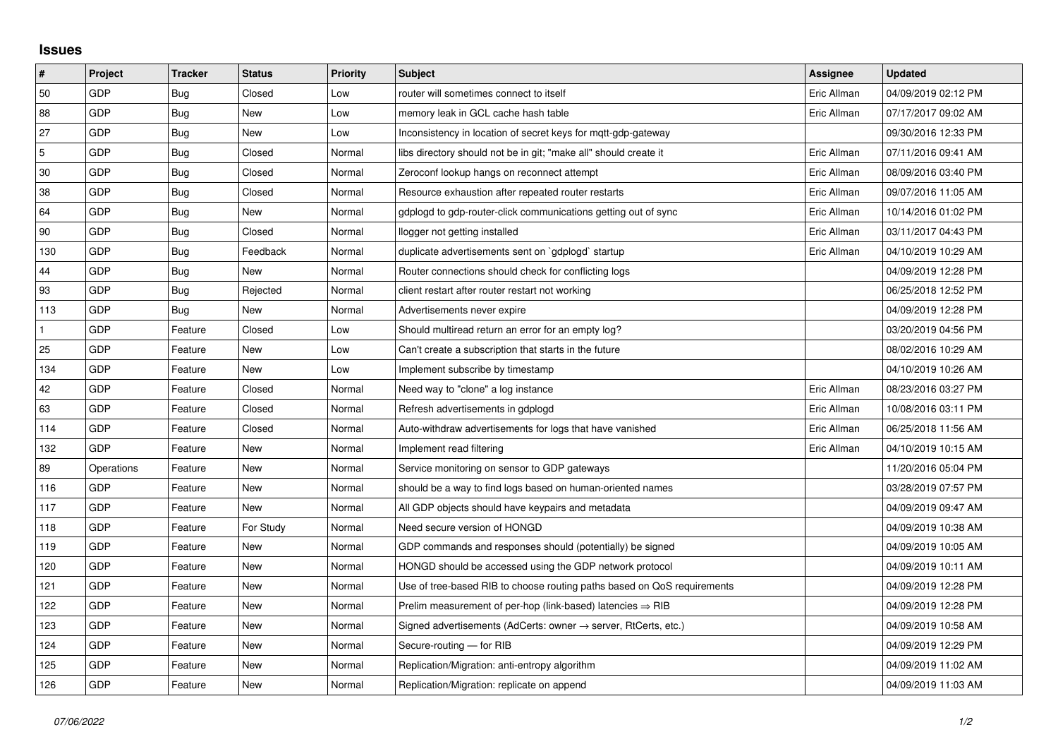## **Issues**

| $\pmb{\sharp}$ | Project    | <b>Tracker</b> | <b>Status</b> | <b>Priority</b> | <b>Subject</b>                                                             | Assignee    | <b>Updated</b>      |
|----------------|------------|----------------|---------------|-----------------|----------------------------------------------------------------------------|-------------|---------------------|
| 50             | GDP        | Bug            | Closed        | Low             | router will sometimes connect to itself                                    | Eric Allman | 04/09/2019 02:12 PM |
| 88             | GDP        | Bug            | New           | Low             | memory leak in GCL cache hash table                                        | Eric Allman | 07/17/2017 09:02 AM |
| 27             | GDP        | <b>Bug</b>     | New           | Low             | Inconsistency in location of secret keys for mgtt-gdp-gateway              |             | 09/30/2016 12:33 PM |
| 5              | GDP        | Bug            | Closed        | Normal          | libs directory should not be in git; "make all" should create it           | Eric Allman | 07/11/2016 09:41 AM |
| 30             | GDP        | Bug            | Closed        | Normal          | Zeroconf lookup hangs on reconnect attempt                                 | Eric Allman | 08/09/2016 03:40 PM |
| 38             | GDP        | <b>Bug</b>     | Closed        | Normal          | Resource exhaustion after repeated router restarts                         | Eric Allman | 09/07/2016 11:05 AM |
| 64             | GDP        | Bug            | <b>New</b>    | Normal          | gdplogd to gdp-router-click communications getting out of sync             | Eric Allman | 10/14/2016 01:02 PM |
| 90             | GDP        | <b>Bug</b>     | Closed        | Normal          | llogger not getting installed                                              | Eric Allman | 03/11/2017 04:43 PM |
| 130            | GDP        | Bug            | Feedback      | Normal          | duplicate advertisements sent on `gdplogd` startup                         | Eric Allman | 04/10/2019 10:29 AM |
| 44             | GDP        | <b>Bug</b>     | <b>New</b>    | Normal          | Router connections should check for conflicting logs                       |             | 04/09/2019 12:28 PM |
| 93             | GDP        | Bug            | Rejected      | Normal          | client restart after router restart not working                            |             | 06/25/2018 12:52 PM |
| 113            | GDP        | Bug            | New           | Normal          | Advertisements never expire                                                |             | 04/09/2019 12:28 PM |
|                | GDP        | Feature        | Closed        | Low             | Should multiread return an error for an empty log?                         |             | 03/20/2019 04:56 PM |
| 25             | GDP        | Feature        | New           | Low             | Can't create a subscription that starts in the future                      |             | 08/02/2016 10:29 AM |
| 134            | GDP        | Feature        | New           | Low             | Implement subscribe by timestamp                                           |             | 04/10/2019 10:26 AM |
| 42             | GDP        | Feature        | Closed        | Normal          | Need way to "clone" a log instance                                         | Eric Allman | 08/23/2016 03:27 PM |
| 63             | GDP        | Feature        | Closed        | Normal          | Refresh advertisements in gdplogd                                          | Eric Allman | 10/08/2016 03:11 PM |
| 114            | GDP        | Feature        | Closed        | Normal          | Auto-withdraw advertisements for logs that have vanished                   | Eric Allman | 06/25/2018 11:56 AM |
| 132            | GDP        | Feature        | New           | Normal          | Implement read filtering                                                   | Eric Allman | 04/10/2019 10:15 AM |
| 89             | Operations | Feature        | New           | Normal          | Service monitoring on sensor to GDP gateways                               |             | 11/20/2016 05:04 PM |
| 116            | GDP        | Feature        | New           | Normal          | should be a way to find logs based on human-oriented names                 |             | 03/28/2019 07:57 PM |
| 117            | GDP        | Feature        | New           | Normal          | All GDP objects should have keypairs and metadata                          |             | 04/09/2019 09:47 AM |
| 118            | GDP        | Feature        | For Study     | Normal          | Need secure version of HONGD                                               |             | 04/09/2019 10:38 AM |
| 119            | GDP        | Feature        | New           | Normal          | GDP commands and responses should (potentially) be signed                  |             | 04/09/2019 10:05 AM |
| 120            | GDP        | Feature        | New           | Normal          | HONGD should be accessed using the GDP network protocol                    |             | 04/09/2019 10:11 AM |
| 121            | GDP        | Feature        | New           | Normal          | Use of tree-based RIB to choose routing paths based on QoS requirements    |             | 04/09/2019 12:28 PM |
| 122            | GDP        | Feature        | New           | Normal          | Prelim measurement of per-hop (link-based) latencies $\Rightarrow$ RIB     |             | 04/09/2019 12:28 PM |
| 123            | GDP        | Feature        | New           | Normal          | Signed advertisements (AdCerts: owner $\rightarrow$ server, RtCerts, etc.) |             | 04/09/2019 10:58 AM |
| 124            | GDP        | Feature        | New           | Normal          | Secure-routing - for RIB                                                   |             | 04/09/2019 12:29 PM |
| 125            | GDP        | Feature        | New           | Normal          | Replication/Migration: anti-entropy algorithm                              |             | 04/09/2019 11:02 AM |
| 126            | GDP        | Feature        | New           | Normal          | Replication/Migration: replicate on append                                 |             | 04/09/2019 11:03 AM |